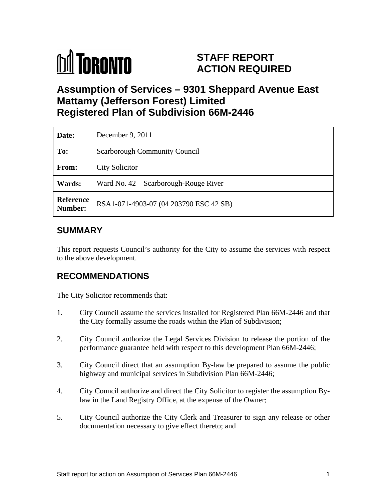

# **STAFF REPORT ACTION REQUIRED**

# **Assumption of Services – 9301 Sheppard Avenue East Mattamy (Jefferson Forest) Limited Registered Plan of Subdivision 66M-2446**

| Date:         | December 9, 2011                                        |
|---------------|---------------------------------------------------------|
| To:           | Scarborough Community Council                           |
| From:         | <b>City Solicitor</b>                                   |
| <b>Wards:</b> | Ward No. 42 – Scarborough-Rouge River                   |
|               | <b>Reference</b> RSA1-071-4903-07 (04 203790 ESC 42 SB) |

## **SUMMARY**

This report requests Council's authority for the City to assume the services with respect to the above development.

# **RECOMMENDATIONS**

The City Solicitor recommends that:

- 1. City Council assume the services installed for Registered Plan 66M-2446 and that the City formally assume the roads within the Plan of Subdivision;
- 2. City Council authorize the Legal Services Division to release the portion of the performance guarantee held with respect to this development Plan 66M-2446;
- 3. City Council direct that an assumption By-law be prepared to assume the public highway and municipal services in Subdivision Plan 66M-2446;
- 4. City Council authorize and direct the City Solicitor to register the assumption Bylaw in the Land Registry Office, at the expense of the Owner;
- 5. City Council authorize the City Clerk and Treasurer to sign any release or other documentation necessary to give effect thereto; and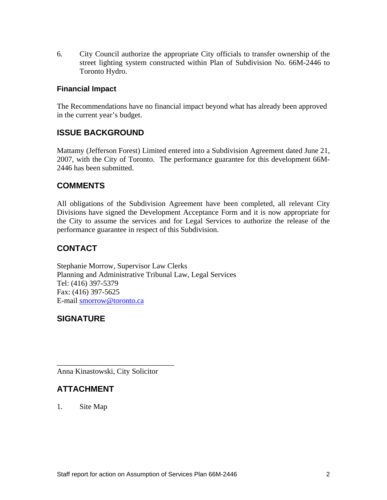6. City Council authorize the appropriate City officials to transfer ownership of the street lighting system constructed within Plan of Subdivision No. 66M-2446 to Toronto Hydro.

#### **Financial Impact**

The Recommendations have no financial impact beyond what has already been approved in the current year's budget.

## **ISSUE BACKGROUND**

Mattamy (Jefferson Forest) Limited entered into <sup>a</sup> Subdivision Agreement dated June 21, 2007, with the City of Toronto. The performance guarantee for this development 66M- 2446 has been submitted.

#### **COMMENTS**

All obligations of the Subdivision Agreement have been completed, all relevant City Divisions have signed the Development Acceptance Form and it is now appropriate for the City to assume the services and for Legal Services to authorize the release of the performance guarantee in respect of this Subdivision.

## **CONTACT**

Stephanie Morrow, Supervisor Law Clerks Planning and Administrative Tribunal Law, Legal Services Tel: (416) 397-5379 Fax: (416) 397-5625 E-mail smorrow@toronto.ca

#### **SIGNATURE**

Anna Kinastowski, City Solicitor

#### **ATTACHMENT**

1. Site Map

 $\overline{\phantom{a}}$  , we can assume that the contract of the contract of the contract of the contract of the contract of the contract of the contract of the contract of the contract of the contract of the contract of the contract